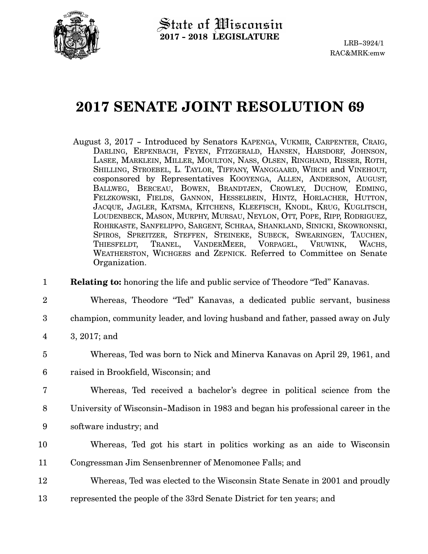

## **2017 SENATE JOINT RESOLUTION 69**

| August 3, 2017 - Introduced by Senators KAPENGA, VUKMIR, CARPENTER, CRAIG, |
|----------------------------------------------------------------------------|
| DARLING, ERPENBACH, FEYEN, FITZGERALD, HANSEN, HARSDORF, JOHNSON,          |
| LASEE, MARKLEIN, MILLER, MOULTON, NASS, OLSEN, RINGHAND, RISSER, ROTH,     |
| SHILLING, STROEBEL, L. TAYLOR, TIFFANY, WANGGAARD, WIRCH and VINEHOUT,     |
| cosponsored by Representatives KOOYENGA, ALLEN, ANDERSON, AUGUST,          |
| BALLWEG, BERCEAU, BOWEN, BRANDTJEN, CROWLEY, DUCHOW, EDMING,               |
| FELZKOWSKI, FIELDS, GANNON, HESSELBEIN, HINTZ, HORLACHER, HUTTON,          |
| JACQUE, JAGLER, KATSMA, KITCHENS, KLEEFISCH, KNODL, KRUG, KUGLITSCH,       |
| LOUDENBECK, MASON, MURPHY, MURSAU, NEYLON, OTT, POPE, RIPP, RODRIGUEZ,     |
| ROHRKASTE, SANFELIPPO, SARGENT, SCHRAA, SHANKLAND, SINICKI, SKOWRONSKI,    |
| SPIROS, SPREITZER, STEFFEN, STEINEKE, SUBECK, SWEARINGEN, TAUCHEN,         |
| THIESFELDT, TRANEL, VANDERMEER, VORPAGEL, VRUWINK, WACHS,                  |
| WEATHERSTON, WICHGERS and ZEPNICK. Referred to Committee on Senate         |
| Organization.                                                              |

**Relating to:** honoring the life and public service of Theodore "Ted" Kanavas. 1

- Whereas, Theodore "Ted" Kanavas, a dedicated public servant, business 2
- champion, community leader, and loving husband and father, passed away on July 3
- 3, 2017; and 4
- Whereas, Ted was born to Nick and Minerva Kanavas on April 29, 1961, and 5
- raised in Brookfield, Wisconsin; and 6
- Whereas, Ted received a bachelor's degree in political science from the 7
- University of Wisconsin-Madison in 1983 and began his professional career in the 8
- software industry; and 9
- Whereas, Ted got his start in politics working as an aide to Wisconsin 10
- Congressman Jim Sensenbrenner of Menomonee Falls; and 11
- Whereas, Ted was elected to the Wisconsin State Senate in 2001 and proudly 12
- represented the people of the 33rd Senate District for ten years; and 13